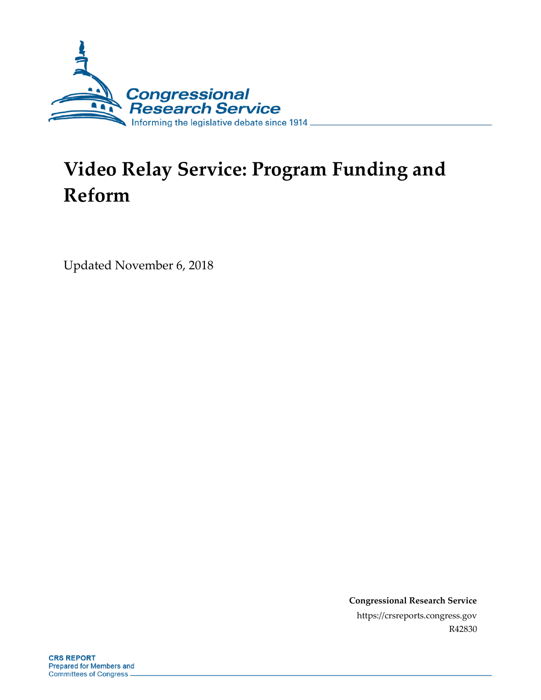

# **Video Relay Service: Program Funding and Reform**

Updated November 6, 2018

**Congressional Research Service** https://crsreports.congress.gov R42830

**CRS REPORT Prepared for Members and Committees of Congress**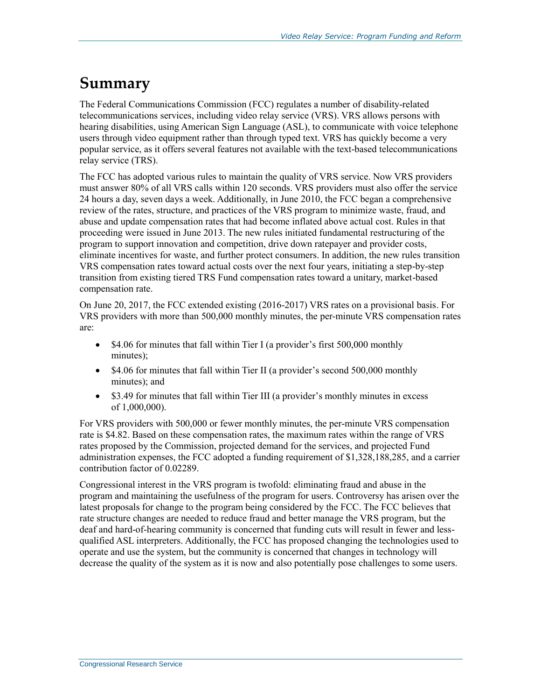## **Summary**

The Federal Communications Commission (FCC) regulates a number of disability-related telecommunications services, including video relay service (VRS). VRS allows persons with hearing disabilities, using American Sign Language (ASL), to communicate with voice telephone users through video equipment rather than through typed text. VRS has quickly become a very popular service, as it offers several features not available with the text-based telecommunications relay service (TRS).

The FCC has adopted various rules to maintain the quality of VRS service. Now VRS providers must answer 80% of all VRS calls within 120 seconds. VRS providers must also offer the service 24 hours a day, seven days a week. Additionally, in June 2010, the FCC began a comprehensive review of the rates, structure, and practices of the VRS program to minimize waste, fraud, and abuse and update compensation rates that had become inflated above actual cost. Rules in that proceeding were issued in June 2013. The new rules initiated fundamental restructuring of the program to support innovation and competition, drive down ratepayer and provider costs, eliminate incentives for waste, and further protect consumers. In addition, the new rules transition VRS compensation rates toward actual costs over the next four years, initiating a step-by-step transition from existing tiered TRS Fund compensation rates toward a unitary, market-based compensation rate.

On June 20, 2017, the FCC extended existing (2016-2017) VRS rates on a provisional basis. For VRS providers with more than 500,000 monthly minutes, the per-minute VRS compensation rates are:

- \$4.06 for minutes that fall within Tier I (a provider's first 500,000 monthly minutes);
- \$4.06 for minutes that fall within Tier II (a provider's second 500,000 monthly minutes); and
- \$3.49 for minutes that fall within Tier III (a provider's monthly minutes in excess of 1,000,000).

For VRS providers with 500,000 or fewer monthly minutes, the per-minute VRS compensation rate is \$4.82. Based on these compensation rates, the maximum rates within the range of VRS rates proposed by the Commission, projected demand for the services, and projected Fund administration expenses, the FCC adopted a funding requirement of \$1,328,188,285, and a carrier contribution factor of 0.02289.

Congressional interest in the VRS program is twofold: eliminating fraud and abuse in the program and maintaining the usefulness of the program for users. Controversy has arisen over the latest proposals for change to the program being considered by the FCC. The FCC believes that rate structure changes are needed to reduce fraud and better manage the VRS program, but the deaf and hard-of-hearing community is concerned that funding cuts will result in fewer and lessqualified ASL interpreters. Additionally, the FCC has proposed changing the technologies used to operate and use the system, but the community is concerned that changes in technology will decrease the quality of the system as it is now and also potentially pose challenges to some users.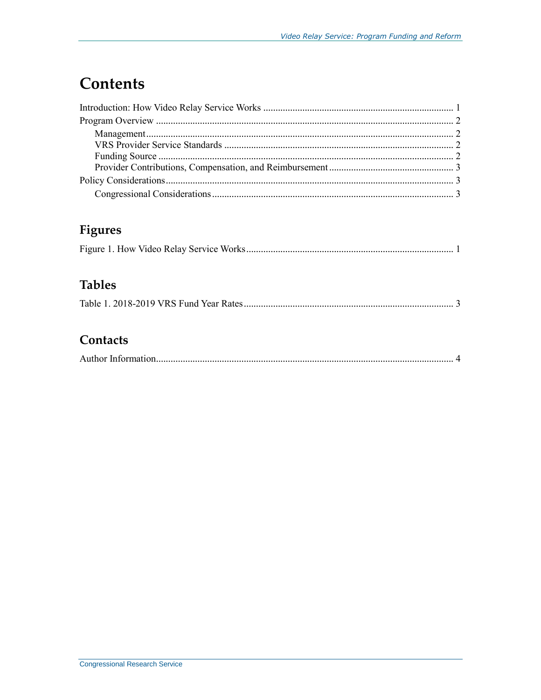## **Contents**

### Figures

### **Tables**

|--|--|--|--|--|

### Contacts

|--|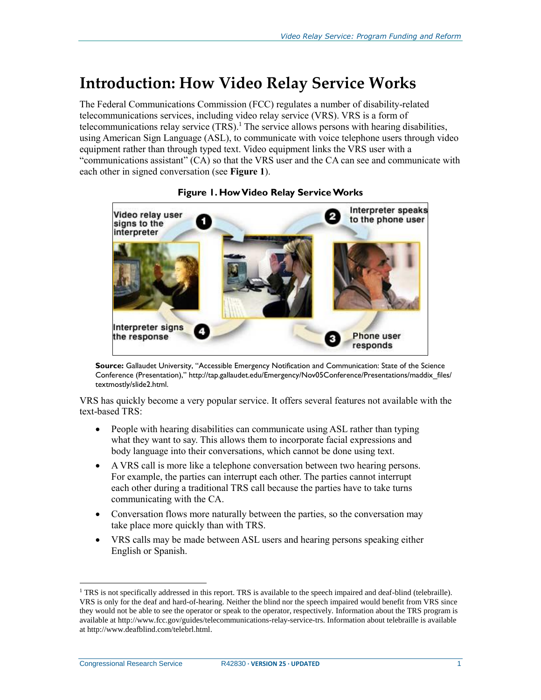### <span id="page-3-0"></span>**Introduction: How Video Relay Service Works**

The Federal Communications Commission (FCC) regulates a number of disability-related telecommunications services, including video relay service (VRS). VRS is a form of telecommunications relay service  $(TRS)$ .<sup>1</sup> The service allows persons with hearing disabilities, using American Sign Language (ASL), to communicate with voice telephone users through video equipment rather than through typed text. Video equipment links the VRS user with a "communications assistant" (CA) so that the VRS user and the CA can see and communicate with each other in signed conversation (see **[Figure 1](#page-3-1)**).

<span id="page-3-1"></span>

#### **Figure 1. How Video Relay Service Works**

**Source:** Gallaudet University, "Accessible Emergency Notification and Communication: State of the Science Conference (Presentation)," http://tap.gallaudet.edu/Emergency/Nov05Conference/Presentations/maddix\_files/ textmostly/slide2.html.

VRS has quickly become a very popular service. It offers several features not available with the text-based TRS:

- People with hearing disabilities can communicate using ASL rather than typing what they want to say. This allows them to incorporate facial expressions and body language into their conversations, which cannot be done using text.
- A VRS call is more like a telephone conversation between two hearing persons. For example, the parties can interrupt each other. The parties cannot interrupt each other during a traditional TRS call because the parties have to take turns communicating with the CA.
- Conversation flows more naturally between the parties, so the conversation may take place more quickly than with TRS.
- VRS calls may be made between ASL users and hearing persons speaking either English or Spanish.

 $\overline{a}$ 

 $1$  TRS is not specifically addressed in this report. TRS is available to the speech impaired and deaf-blind (telebraille). VRS is only for the deaf and hard-of-hearing. Neither the blind nor the speech impaired would benefit from VRS since they would not be able to see the operator or speak to the operator, respectively. Information about the TRS program is available at http://www.fcc.gov/guides/telecommunications-relay-service-trs. Information about telebraille is available at http://www.deafblind.com/telebrl.html.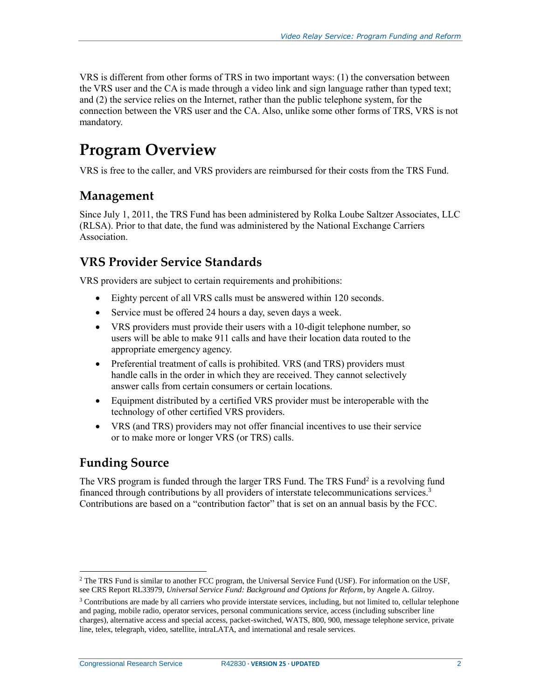VRS is different from other forms of TRS in two important ways: (1) the conversation between the VRS user and the CA is made through a video link and sign language rather than typed text; and (2) the service relies on the Internet, rather than the public telephone system, for the connection between the VRS user and the CA. Also, unlike some other forms of TRS, VRS is not mandatory.

## <span id="page-4-0"></span>**Program Overview**

VRS is free to the caller, and VRS providers are reimbursed for their costs from the TRS Fund.

#### <span id="page-4-1"></span>**Management**

Since July 1, 2011, the TRS Fund has been administered by Rolka Loube Saltzer Associates, LLC (RLSA). Prior to that date, the fund was administered by the National Exchange Carriers Association.

#### <span id="page-4-2"></span>**VRS Provider Service Standards**

VRS providers are subject to certain requirements and prohibitions:

- Eighty percent of all VRS calls must be answered within 120 seconds.
- Service must be offered 24 hours a day, seven days a week.
- VRS providers must provide their users with a 10-digit telephone number, so users will be able to make 911 calls and have their location data routed to the appropriate emergency agency.
- Preferential treatment of calls is prohibited. VRS (and TRS) providers must handle calls in the order in which they are received. They cannot selectively answer calls from certain consumers or certain locations.
- Equipment distributed by a certified VRS provider must be interoperable with the technology of other certified VRS providers.
- VRS (and TRS) providers may not offer financial incentives to use their service or to make more or longer VRS (or TRS) calls.

#### <span id="page-4-3"></span>**Funding Source**

 $\overline{a}$ 

The VRS program is funded through the larger TRS Fund. The TRS Fund<sup>2</sup> is a revolving fund financed through contributions by all providers of interstate telecommunications services.<sup>3</sup> Contributions are based on a "contribution factor" that is set on an annual basis by the FCC.

Congressional Research Service R42830 **· VERSION 25 · UPDATED** 2

<sup>&</sup>lt;sup>2</sup> The TRS Fund is similar to another FCC program, the Universal Service Fund (USF). For information on the USF, see CRS Report RL33979, *Universal Service Fund: Background and Options for Reform*, by Angele A. Gilroy.

 $3$  Contributions are made by all carriers who provide interstate services, including, but not limited to, cellular telephone and paging, mobile radio, operator services, personal communications service, access (including subscriber line charges), alternative access and special access, packet-switched, WATS, 800, 900, message telephone service, private line, telex, telegraph, video, satellite, intraLATA, and international and resale services.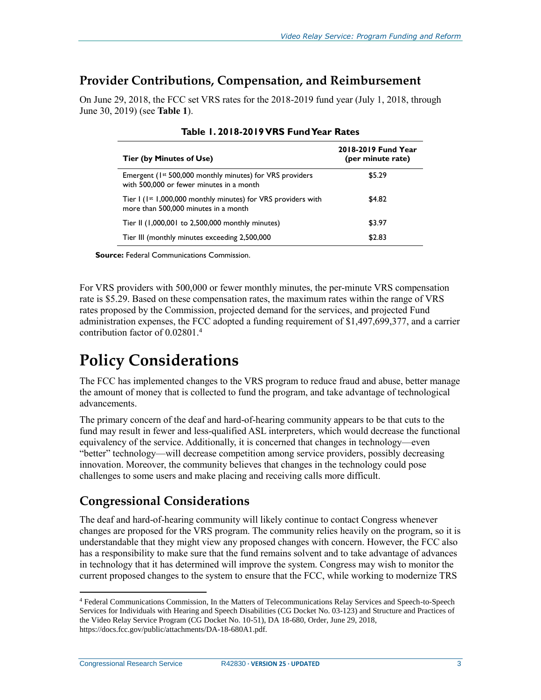#### <span id="page-5-0"></span>**Provider Contributions, Compensation, and Reimbursement**

<span id="page-5-3"></span>On June 29, 2018, the FCC set VRS rates for the 2018-2019 fund year (July 1, 2018, through June 30, 2019) (see **[Table 1](#page-5-3)**).

| Tier (by Minutes of Use)                                                                                         | 2018-2019 Fund Year<br>(per minute rate) |
|------------------------------------------------------------------------------------------------------------------|------------------------------------------|
| Emergent (1 <sup>st</sup> 500,000 monthly minutes) for VRS providers<br>with 500,000 or fewer minutes in a month | \$5.29                                   |
| Tier I (1st 1,000,000 monthly minutes) for VRS providers with<br>more than 500,000 minutes in a month            | \$4.82                                   |
| Tier II (1,000,001 to 2,500,000 monthly minutes)                                                                 | \$3.97                                   |
| Tier III (monthly minutes exceeding 2,500,000                                                                    | \$2.83                                   |

#### **Table 1. 2018-2019 VRS Fund Year Rates**

**Source:** Federal Communications Commission.

For VRS providers with 500,000 or fewer monthly minutes, the per-minute VRS compensation rate is \$5.29. Based on these compensation rates, the maximum rates within the range of VRS rates proposed by the Commission, projected demand for the services, and projected Fund administration expenses, the FCC adopted a funding requirement of \$1,497,699,377, and a carrier contribution factor of 0.02801. 4

# <span id="page-5-1"></span>**Policy Considerations**

The FCC has implemented changes to the VRS program to reduce fraud and abuse, better manage the amount of money that is collected to fund the program, and take advantage of technological advancements.

The primary concern of the deaf and hard-of-hearing community appears to be that cuts to the fund may result in fewer and less-qualified ASL interpreters, which would decrease the functional equivalency of the service. Additionally, it is concerned that changes in technology—even "better" technology—will decrease competition among service providers, possibly decreasing innovation. Moreover, the community believes that changes in the technology could pose challenges to some users and make placing and receiving calls more difficult.

#### <span id="page-5-2"></span>**Congressional Considerations**

The deaf and hard-of-hearing community will likely continue to contact Congress whenever changes are proposed for the VRS program. The community relies heavily on the program, so it is understandable that they might view any proposed changes with concern. However, the FCC also has a responsibility to make sure that the fund remains solvent and to take advantage of advances in technology that it has determined will improve the system. Congress may wish to monitor the current proposed changes to the system to ensure that the FCC, while working to modernize TRS

 $\overline{a}$ 

<sup>4</sup> Federal Communications Commission, In the Matters of Telecommunications Relay Services and Speech-to-Speech Services for Individuals with Hearing and Speech Disabilities (CG Docket No. 03-123) and Structure and Practices of the Video Relay Service Program (CG Docket No. 10-51), DA 18-680, Order, June 29, 2018, https://docs.fcc.gov/public/attachments/DA-18-680A1.pdf.